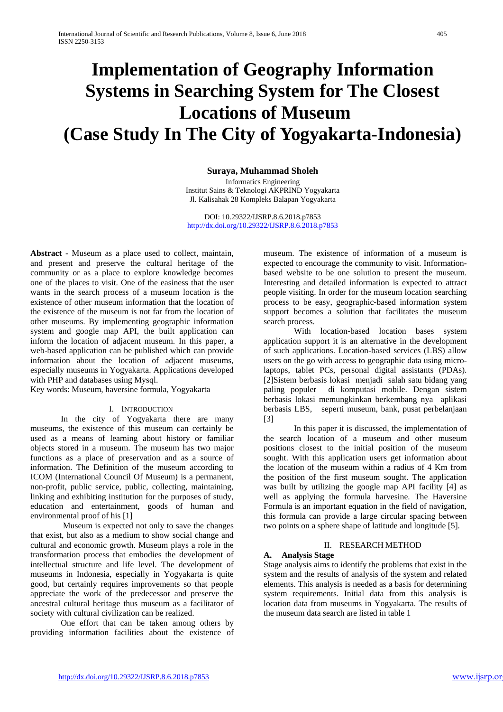# **Implementation of Geography Information Systems in Searching System for The Closest Locations of Museum (Case Study In The City of Yogyakarta-Indonesia)**

### **Suraya, Muhammad Sholeh**

Informatics Engineering Institut Sains & Teknologi AKPRIND Yogyakarta Jl. Kalisahak 28 Kompleks Balapan Yogyakarta

DOI: 10.29322/IJSRP.8.6.2018.p7853 <http://dx.doi.org/10.29322/IJSRP.8.6.2018.p7853>

**Abstract** - Museum as a place used to collect, maintain, and present and preserve the cultural heritage of the community or as a place to explore knowledge becomes one of the places to visit. One of the easiness that the user wants in the search process of a museum location is the existence of other museum information that the location of the existence of the museum is not far from the location of other museums. By implementing geographic information system and google map API, the built application can inform the location of adjacent museum. In this paper, a web-based application can be published which can provide information about the location of adjacent museums, especially museums in Yogyakarta. Applications developed with PHP and databases using Mysql.

Key words: Museum, haversine formula, Yogyakarta

#### I. INTRODUCTION

In the city of Yogyakarta there are many museums, the existence of this museum can certainly be used as a means of learning about history or familiar objects stored in a museum. The museum has two major functions as a place of preservation and as a source of information. The Definition of the museum according to ICOM (International Council Of Museum) is a permanent, non-profit, public service, public, collecting, maintaining, linking and exhibiting institution for the purposes of study, education and entertainment, goods of human and environmental proof of his [1]

Museum is expected not only to save the changes that exist, but also as a medium to show social change and cultural and economic growth. Museum plays a role in the transformation process that embodies the development of intellectual structure and life level. The development of museums in Indonesia, especially in Yogyakarta is quite good, but certainly requires improvements so that people appreciate the work of the predecessor and preserve the ancestral cultural heritage thus museum as a facilitator of society with cultural civilization can be realized.

One effort that can be taken among others by providing information facilities about the existence of museum. The existence of information of a museum is expected to encourage the community to visit. Informationbased website to be one solution to present the museum. Interesting and detailed information is expected to attract people visiting. In order for the museum location searching process to be easy, geographic-based information system support becomes a solution that facilitates the museum search process.

With location-based location bases system application support it is an alternative in the development of such applications. Location-based services (LBS) allow users on the go with access to geographic data using microlaptops, tablet PCs, personal digital assistants (PDAs). [2]Sistem berbasis lokasi menjadi salah satu bidang yang paling populer di komputasi mobile. Dengan sistem berbasis lokasi memungkinkan berkembang nya aplikasi berbasis LBS, seperti museum, bank, pusat perbelanjaan [3]

In this paper it is discussed, the implementation of the search location of a museum and other museum positions closest to the initial position of the museum sought. With this application users get information about the location of the museum within a radius of 4 Km from the position of the first museum sought. The application was built by utilizing the google map API facility [4] as well as applying the formula harvesine. The Haversine Formula is an important equation in the field of navigation, this formula can provide a large circular spacing between two points on a sphere shape of latitude and longitude [5].

#### II. RESEARCH METHOD

#### **A. Analysis Stage**

Stage analysis aims to identify the problems that exist in the system and the results of analysis of the system and related elements. This analysis is needed as a basis for determining system requirements. Initial data from this analysis is location data from museums in Yogyakarta. The results of the museum data search are listed in table 1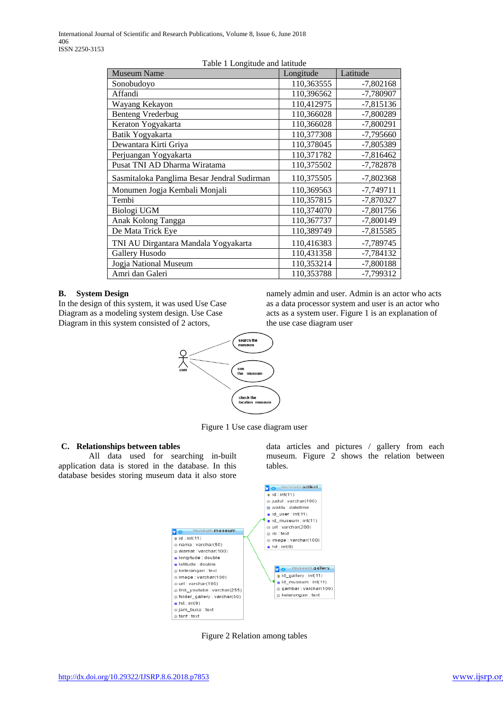| n abie 'n Longhade and namade<br><b>Museum Name</b> | Longitude  | Latitude    |  |
|-----------------------------------------------------|------------|-------------|--|
| Sonobudoyo                                          | 110,363555 | $-7,802168$ |  |
| Affandi                                             | 110,396562 | -7,780907   |  |
| Wayang Kekayon                                      | 110,412975 | $-7,815136$ |  |
| <b>Benteng Vrederbug</b>                            | 110,366028 | -7,800289   |  |
| Keraton Yogyakarta                                  | 110,366028 | $-7,800291$ |  |
| Batik Yogyakarta                                    | 110,377308 | $-7,795660$ |  |
| Dewantara Kirti Griya                               | 110,378045 | -7,805389   |  |
| Perjuangan Yogyakarta                               | 110,371782 | $-7,816462$ |  |
| Pusat TNI AD Dharma Wiratama                        | 110,375502 | $-7,782878$ |  |
| Sasmitaloka Panglima Besar Jendral Sudirman         | 110,375505 | $-7,802368$ |  |
| Monumen Jogja Kembali Monjali                       | 110,369563 | $-7,749711$ |  |
| Tembi                                               | 110,357815 | $-7,870327$ |  |
| Biologi UGM                                         | 110,374070 | $-7,801756$ |  |
| Anak Kolong Tangga                                  | 110,367737 | -7,800149   |  |
| De Mata Trick Eye                                   | 110,389749 | $-7,815585$ |  |
| TNI AU Dirgantara Mandala Yogyakarta                | 110,416383 | $-7,789745$ |  |
| Gallery Husodo                                      | 110,431358 | $-7,784132$ |  |
| Jogja National Museum                               | 110,353214 | $-7,800188$ |  |
| Amri dan Galeri                                     | 110,353788 | $-7,799312$ |  |

## Table 1 Longitude and latitude

## **B. System Design**

In the design of this system, it was used Use Case Diagram as a modeling system design. Use Case Diagram in this system consisted of 2 actors,

namely admin and user. Admin is an actor who acts as a data processor system and user is an actor who acts as a system user. Figure 1 is an explanation of the use case diagram user



Figure 1 Use case diagram user

## **C. Relationships between tables**

All data used for searching in-built application data is stored in the database. In this database besides storing museum data it also store

data articles and pictures / gallery from each museum. Figure 2 shows the relation between tables.



Figure 2 Relation among tables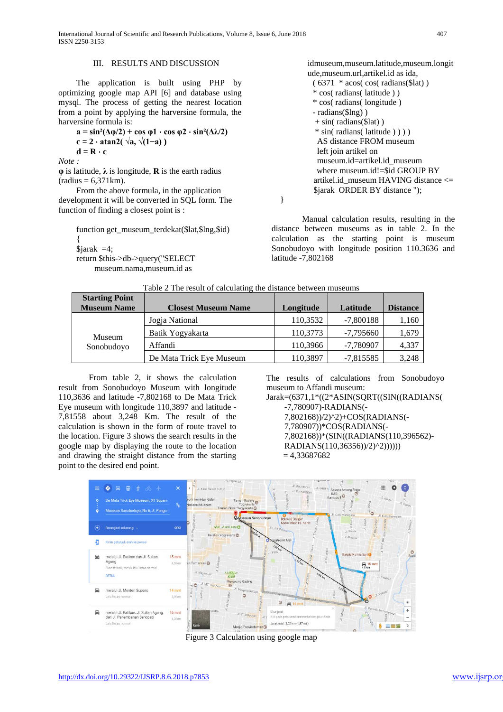#### III. RESULTS AND DISCUSSION

The application is built using PHP by optimizing google map API [6] and database using mysql. The process of getting the nearest location from a point by applying the harversine formula, the harversine formula is:

 $a = sin^2(\Delta\varphi/2) + cos \varphi 1 \cdot cos \varphi 2 \cdot sin^2(\Delta\lambda/2)$ **c = 2** ⋅ **atan2( √a, √(1−a) )**  $d = R \cdot c$ 

*Note :*

 $\varphi$  is latitude,  $\lambda$  is longitude, **R** is the earth radius  $(radius = 6,371km).$ 

From the above formula, in the application development it will be converted in SQL form. The function of finding a closest point is :

function get\_museum\_terdekat(\$lat,\$lng,\$id) {  $\text{Siarak} = 4$ ; return \$this->db->query("SELECT museum.nama,museum.id as

idmuseum,museum.latitude,museum.longit ude,museum.url,artikel.id as ida,  $(6371 * a\cos(\cos(\text{radians}(t))))$  \* cos( radians( latitude ) ) \* cos( radians( longitude ) - radians(\$lng) ) + sin( radians(\$lat) ) \* sin( radians( latitude ) ) ) ) AS distance FROM museum left join artikel on museum.id=artikel.id\_museum where museum.id!=\$id GROUP BY artikel.id\_museum HAVING distance <= \$jarak ORDER BY distance ");

}

Manual calculation results, resulting in the distance between museums as in table 2. In the calculation as the starting point is museum Sonobudoyo with longitude position 110.3636 and latitude -7,802168

| <b>Starting Point</b><br><b>Museum Name</b> | <b>Closest Museum Name</b> | Longitude | Latitude    | <b>Distance</b> |
|---------------------------------------------|----------------------------|-----------|-------------|-----------------|
| Museum<br>Sonobudoyo                        | Jogja National             | 110,3532  | $-7,800188$ | 1,160           |
|                                             | Batik Yogyakarta           | 110,3773  | $-7,795660$ | 1,679           |
|                                             | Affandi                    | 110,3966  | $-7,780907$ | 4,337           |
|                                             | De Mata Trick Eye Museum   | 110,3897  | $-7,815585$ | 3,248           |

Table 2 The result of calculating the distance between museums

From table 2, it shows the calculation result from Sonobudoyo Museum with longitude 110,3636 and latitude -7,802168 to De Mata Trick Eye museum with longitude 110,3897 and latitude - 7,81558 about 3,248 Km. The result of the calculation is shown in the form of route travel to the location. Figure 3 shows the search results in the google map by displaying the route to the location and drawing the straight distance from the starting point to the desired end point.

The results of calculations from Sonobudoyo museum to Affandi museum:

Jarak=(6371,1\*((2\*ASIN(SQRT((SIN((RADIANS( -7,780907)-RADIANS(- 7,802168))/2)^2)+COS(RADIANS(- 7,780907))\*COS(RADIANS(- 7,802168))\*(SIN((RADIANS(110,396562)- RADIANS(110,36356))/2)^2))))))  $= 4,33687682$ 



Figure 3 Calculation using google map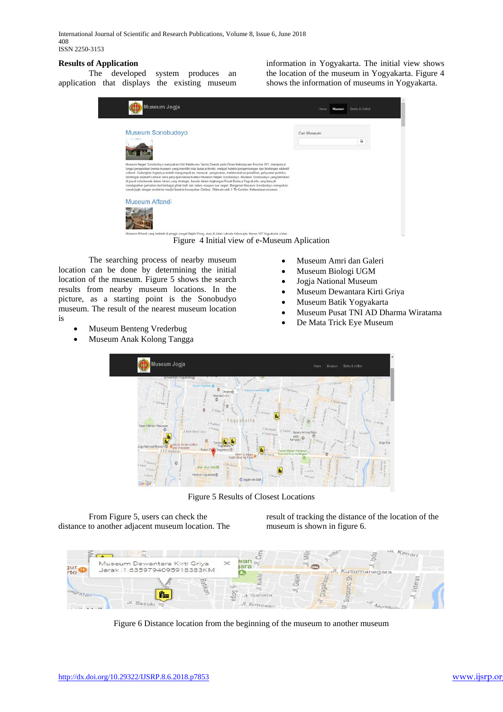International Journal of Scientific and Research Publications, Volume 8, Issue 6, June 2018 408 ISSN 2250-3153

### **Results of Application**

The developed system produces an application that displays the existing museum information in Yogyakarta. The initial view shows the location of the museum in Yogyakarta. Figure 4 shows the information of museums in Yogyakarta.



Figure 4 Initial view of e-Museum Aplication

The searching process of nearby museum location can be done by determining the initial location of the museum. Figure 5 shows the search results from nearby museum locations. In the picture, as a starting point is the Sonobudyo museum. The result of the nearest museum location is

- Museum Benteng Vrederbug
- Museum Anak Kolong Tangga
- Museum Amri dan Galeri
- Museum Biologi UGM
- Jogja National Museum
- Museum Dewantara Kirti Griya
- Museum Batik Yogyakarta
- Museum Pusat TNI AD Dharma Wiratama
- De Mata Trick Eye Museum



Figure 5 Results of Closest Locations

From Figure 5, users can check the distance to another adjacent museum location. The

result of tracking the distance of the location of the museum is shown in figure 6.

| πo                  | Museum Dewantara Kirti Griya<br>Jarak: 1.6359794095918383KM | ×                      | u. Kenari<br>JI. Kusumanegara |
|---------------------|-------------------------------------------------------------|------------------------|-------------------------------|
| an online in death. | œ<br>$Jl.$ Basuki $\sim$                                    | Garuda<br>JI. Bimosari |                               |

Figure 6 Distance location from the beginning of the museum to another museum